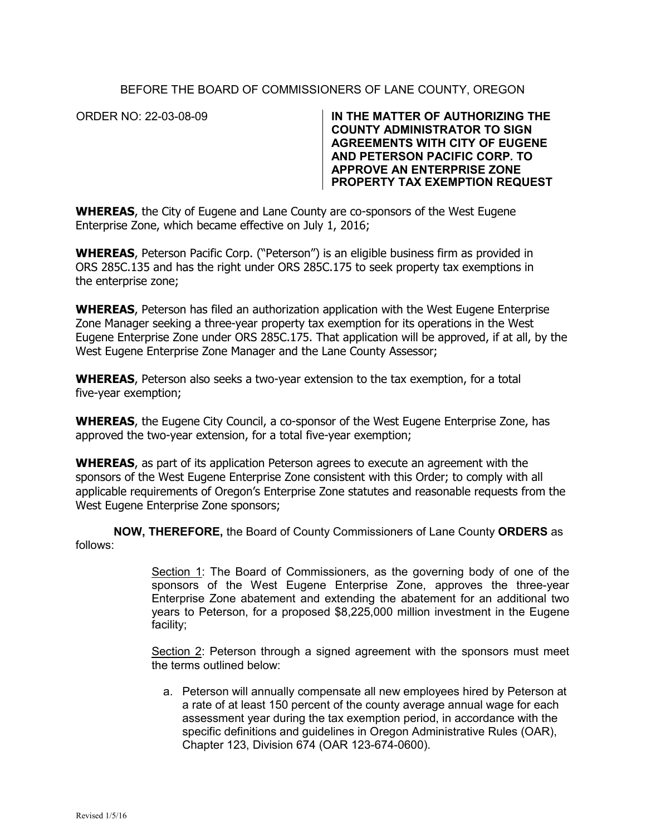## BEFORE THE BOARD OF COMMISSIONERS OF LANE COUNTY, OREGON

ORDER NO: 22-03-08-09 **IN THE MATTER OF AUTHORIZING THE COUNTY ADMINISTRATOR TO SIGN AGREEMENTS WITH CITY OF EUGENE AND PETERSON PACIFIC CORP. TO APPROVE AN ENTERPRISE ZONE PROPERTY TAX EXEMPTION REQUEST**

**WHEREAS**, the City of Eugene and Lane County are co-sponsors of the West Eugene Enterprise Zone, which became effective on July 1, 2016;

**WHEREAS**, Peterson Pacific Corp. ("Peterson") is an eligible business firm as provided in ORS 285C.135 and has the right under ORS 285C.175 to seek property tax exemptions in the enterprise zone;

**WHEREAS**, Peterson has filed an authorization application with the West Eugene Enterprise Zone Manager seeking a three-year property tax exemption for its operations in the West Eugene Enterprise Zone under ORS 285C.175. That application will be approved, if at all, by the West Eugene Enterprise Zone Manager and the Lane County Assessor;

**WHEREAS**, Peterson also seeks a two-year extension to the tax exemption, for a total five-year exemption;

**WHEREAS**, the Eugene City Council, a co-sponsor of the West Eugene Enterprise Zone, has approved the two-year extension, for a total five-year exemption;

**WHEREAS**, as part of its application Peterson agrees to execute an agreement with the sponsors of the West Eugene Enterprise Zone consistent with this Order; to comply with all applicable requirements of Oregon's Enterprise Zone statutes and reasonable requests from the West Eugene Enterprise Zone sponsors;

**NOW, THEREFORE,** the Board of County Commissioners of Lane County **ORDERS** as follows:

> Section 1: The Board of Commissioners, as the governing body of one of the sponsors of the West Eugene Enterprise Zone, approves the three-year Enterprise Zone abatement and extending the abatement for an additional two years to Peterson, for a proposed \$8,225,000 million investment in the Eugene facility;

> Section 2: Peterson through a signed agreement with the sponsors must meet the terms outlined below:

a. Peterson will annually compensate all new employees hired by Peterson at a rate of at least 150 percent of the county average annual wage for each assessment year during the tax exemption period, in accordance with the specific definitions and guidelines in Oregon Administrative Rules (OAR), Chapter 123, Division 674 (OAR 123-674-0600).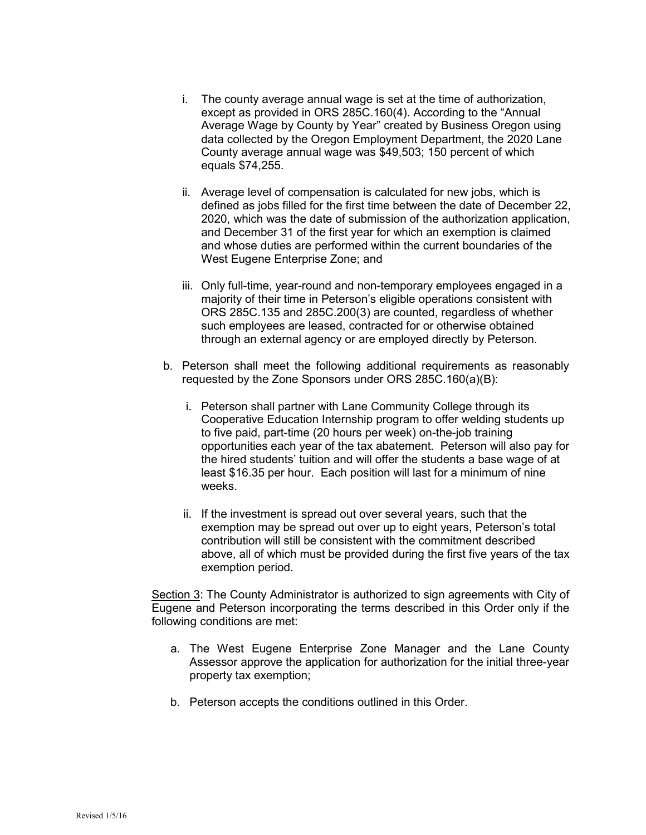- i. The county average annual wage is set at the time of authorization, except as provided in ORS 285C.160(4). According to the "Annual Average Wage by County by Year" created by Business Oregon using data collected by the Oregon Employment Department, the 2020 Lane County average annual wage was \$49,503; 150 percent of which equals \$74,255.
- ii. Average level of compensation is calculated for new jobs, which is defined as jobs filled for the first time between the date of December 22, 2020, which was the date of submission of the authorization application, and December 31 of the first year for which an exemption is claimed and whose duties are performed within the current boundaries of the West Eugene Enterprise Zone; and
- iii. Only full-time, year-round and non-temporary employees engaged in a majority of their time in Peterson's eligible operations consistent with ORS 285C.135 and 285C.200(3) are counted, regardless of whether such employees are leased, contracted for or otherwise obtained through an external agency or are employed directly by Peterson.
- b. Peterson shall meet the following additional requirements as reasonably requested by the Zone Sponsors under ORS 285C.160(a)(B):
	- i. Peterson shall partner with Lane Community College through its Cooperative Education Internship program to offer welding students up to five paid, part-time (20 hours per week) on-the-job training opportunities each year of the tax abatement. Peterson will also pay for the hired students' tuition and will offer the students a base wage of at least \$16.35 per hour. Each position will last for a minimum of nine weeks.
	- ii. If the investment is spread out over several years, such that the exemption may be spread out over up to eight years, Peterson's total contribution will still be consistent with the commitment described above, all of which must be provided during the first five years of the tax exemption period.

Section 3: The County Administrator is authorized to sign agreements with City of Eugene and Peterson incorporating the terms described in this Order only if the following conditions are met:

- a. The West Eugene Enterprise Zone Manager and the Lane County Assessor approve the application for authorization for the initial three-year property tax exemption;
- b. Peterson accepts the conditions outlined in this Order.